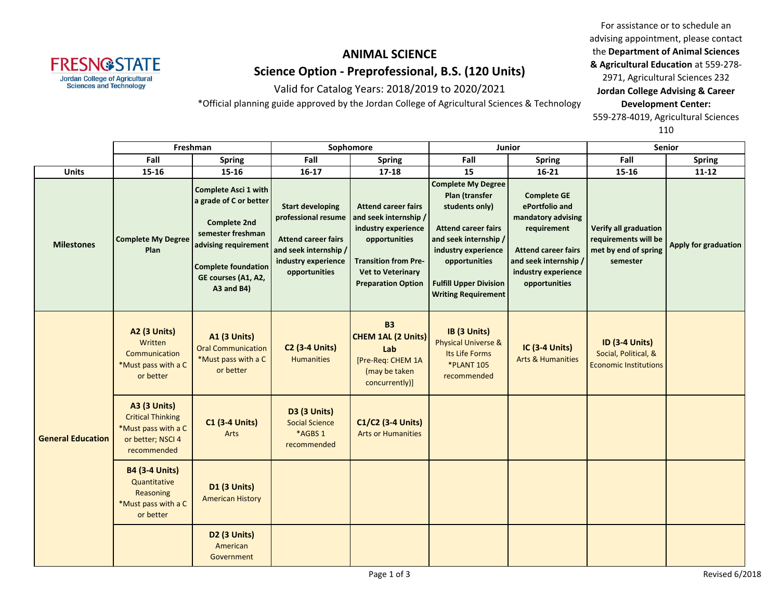

Valid for Catalog Years: 2018/2019 to 2020/2021

\*Official planning guide approved by the Jordan College of Agricultural Sciences & Technology

For assistance or to schedule an advising appointment, please contact the **Department of Animal Sciences & Agricultural Education** at 559-278- 2971, Agricultural Sciences 232 **Jordan College Advising & Career Development Center:** 559-278-4019, Agricultural Sciences

|                          | Freshman                                                                                                   |                                                                                                                                                                                              | Sophomore                                                                                                                                     |                                                                                                                                                                                     | Junior                                                                                                                                                                                                                      |                                                                                                                                                                          | Senior                                                                            |                      |  |
|--------------------------|------------------------------------------------------------------------------------------------------------|----------------------------------------------------------------------------------------------------------------------------------------------------------------------------------------------|-----------------------------------------------------------------------------------------------------------------------------------------------|-------------------------------------------------------------------------------------------------------------------------------------------------------------------------------------|-----------------------------------------------------------------------------------------------------------------------------------------------------------------------------------------------------------------------------|--------------------------------------------------------------------------------------------------------------------------------------------------------------------------|-----------------------------------------------------------------------------------|----------------------|--|
|                          | Fall                                                                                                       | <b>Spring</b>                                                                                                                                                                                | Fall                                                                                                                                          | <b>Spring</b>                                                                                                                                                                       | Fall                                                                                                                                                                                                                        | <b>Spring</b>                                                                                                                                                            | Fall                                                                              | <b>Spring</b>        |  |
| <b>Units</b>             | 15-16                                                                                                      | $15 - 16$                                                                                                                                                                                    | $16 - 17$                                                                                                                                     | 17-18                                                                                                                                                                               | 15                                                                                                                                                                                                                          | $16 - 21$                                                                                                                                                                | 15-16                                                                             | $11 - 12$            |  |
| <b>Milestones</b>        | <b>Complete My Degree</b><br>Plan                                                                          | <b>Complete Asci 1 with</b><br>a grade of C or better<br><b>Complete 2nd</b><br>semester freshman<br>advising requirement<br><b>Complete foundation</b><br>GE courses (A1, A2,<br>A3 and B4) | <b>Start developing</b><br>professional resume<br><b>Attend career fairs</b><br>and seek internship /<br>industry experience<br>opportunities | <b>Attend career fairs</b><br>and seek internship /<br>industry experience<br>opportunities<br><b>Transition from Pre-</b><br><b>Vet to Veterinary</b><br><b>Preparation Option</b> | <b>Complete My Degree</b><br>Plan (transfer<br>students only)<br><b>Attend career fairs</b><br>and seek internship /<br>industry experience<br>opportunities<br><b>Fulfill Upper Division</b><br><b>Writing Requirement</b> | <b>Complete GE</b><br>ePortfolio and<br>mandatory advising<br>requirement<br><b>Attend career fairs</b><br>and seek internship /<br>industry experience<br>opportunities | Verify all graduation<br>requirements will be<br>met by end of spring<br>semester | Apply for graduation |  |
| <b>General Education</b> | A2 (3 Units)<br>Written<br>Communication<br>*Must pass with a C<br>or better                               | <b>A1 (3 Units)</b><br><b>Oral Communication</b><br>*Must pass with a C<br>or better                                                                                                         | <b>C2 (3-4 Units)</b><br><b>Humanities</b>                                                                                                    | <b>B3</b><br><b>CHEM 1AL (2 Units)</b><br>Lab<br>[Pre-Req: CHEM 1A<br>(may be taken<br>concurrently)]                                                                               | IB (3 Units)<br><b>Physical Universe &amp;</b><br>Its Life Forms<br><b>*PLANT 105</b><br>recommended                                                                                                                        | <b>IC (3-4 Units)</b><br><b>Arts &amp; Humanities</b>                                                                                                                    | <b>ID (3-4 Units)</b><br>Social, Political, &<br><b>Economic Institutions</b>     |                      |  |
|                          | <b>A3 (3 Units)</b><br><b>Critical Thinking</b><br>*Must pass with a C<br>or better; NSCI 4<br>recommended | <b>C1 (3-4 Units)</b><br>Arts                                                                                                                                                                | D3 (3 Units)<br><b>Social Science</b><br>*AGBS 1<br>recommended                                                                               | C1/C2 (3-4 Units)<br><b>Arts or Humanities</b>                                                                                                                                      |                                                                                                                                                                                                                             |                                                                                                                                                                          |                                                                                   |                      |  |
|                          | <b>B4 (3-4 Units)</b><br>Quantitative<br>Reasoning<br>*Must pass with a C<br>or better                     | <b>D1 (3 Units)</b><br><b>American History</b>                                                                                                                                               |                                                                                                                                               |                                                                                                                                                                                     |                                                                                                                                                                                                                             |                                                                                                                                                                          |                                                                                   |                      |  |
|                          |                                                                                                            | D <sub>2</sub> (3 Units)<br>American<br>Government                                                                                                                                           |                                                                                                                                               |                                                                                                                                                                                     |                                                                                                                                                                                                                             |                                                                                                                                                                          |                                                                                   |                      |  |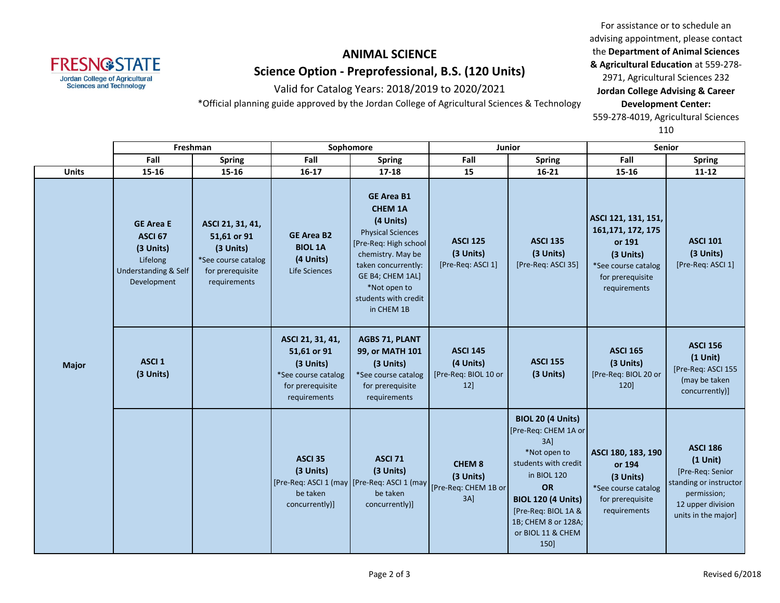

Valid for Catalog Years: 2018/2019 to 2020/2021

\*Official planning guide approved by the Jordan College of Agricultural Sciences & Technology

For assistance or to schedule an advising appointment, please contact the **Department of Animal Sciences & Agricultural Education** at 559-278- 2971, Agricultural Sciences 232 **Jordan College Advising & Career Development Center:** 559-278-4019, Agricultural Sciences

|              |                                                                                                        | Freshman                                                                                                |                                                                                                         | Sophomore                                                                                                                                                                                                                    | Junior                                                                                                       |                                                                                                                                                                                                                                        | <b>Senior</b>                                                                                                               |                                                                                                                                        |
|--------------|--------------------------------------------------------------------------------------------------------|---------------------------------------------------------------------------------------------------------|---------------------------------------------------------------------------------------------------------|------------------------------------------------------------------------------------------------------------------------------------------------------------------------------------------------------------------------------|--------------------------------------------------------------------------------------------------------------|----------------------------------------------------------------------------------------------------------------------------------------------------------------------------------------------------------------------------------------|-----------------------------------------------------------------------------------------------------------------------------|----------------------------------------------------------------------------------------------------------------------------------------|
|              | Fall                                                                                                   | <b>Spring</b>                                                                                           | Fall                                                                                                    | <b>Spring</b>                                                                                                                                                                                                                | Fall                                                                                                         | <b>Spring</b>                                                                                                                                                                                                                          | Fall                                                                                                                        | <b>Spring</b>                                                                                                                          |
| <b>Units</b> | 15-16                                                                                                  | 15-16                                                                                                   | $16 - 17$                                                                                               | $17 - 18$                                                                                                                                                                                                                    | 15                                                                                                           | $16 - 21$                                                                                                                                                                                                                              | 15-16                                                                                                                       | $11 - 12$                                                                                                                              |
| <b>Major</b> | <b>GE Area E</b><br>ASCI <sub>67</sub><br>(3 Units)<br>Lifelong<br>Understanding & Self<br>Development | ASCI 21, 31, 41,<br>51,61 or 91<br>(3 Units)<br>*See course catalog<br>for prerequisite<br>requirements | <b>GE Area B2</b><br><b>BIOL 1A</b><br>(4 Units)<br>Life Sciences                                       | <b>GE Area B1</b><br><b>CHEM 1A</b><br>(4 Units)<br><b>Physical Sciences</b><br>[Pre-Req: High school]<br>chemistry. May be<br>taken concurrently:<br>GE B4; CHEM 1AL]<br>*Not open to<br>students with credit<br>in CHEM 1B | <b>ASCI 125</b><br>(3 Units)<br>[Pre-Req: ASCI 1]                                                            | <b>ASCI 135</b><br>(3 Units)<br>[Pre-Req: ASCI 35]                                                                                                                                                                                     | ASCI 121, 131, 151,<br>161, 171, 172, 175<br>or 191<br>(3 Units)<br>*See course catalog<br>for prerequisite<br>requirements | <b>ASCI 101</b><br>(3 Units)<br>[Pre-Req: ASCI 1]                                                                                      |
|              | ASCI <sub>1</sub><br>(3 Units)                                                                         |                                                                                                         | ASCI 21, 31, 41,<br>51,61 or 91<br>(3 Units)<br>*See course catalog<br>for prerequisite<br>requirements | <b>AGBS 71, PLANT</b><br>99, or MATH 101<br>(3 Units)<br>*See course catalog<br>for prerequisite<br>requirements                                                                                                             | <b>ASCI 145</b><br>(4 Units)<br>[Pre-Req: BIOL 10 or<br>12                                                   | <b>ASCI 155</b><br>(3 Units)                                                                                                                                                                                                           | <b>ASCI 165</b><br>(3 Units)<br>[Pre-Req: BIOL 20 or<br>120                                                                 | <b>ASCI 156</b><br>$(1$ Unit)<br>[Pre-Req: ASCI 155<br>(may be taken<br>concurrently)]                                                 |
|              |                                                                                                        |                                                                                                         | <b>ASCI 35</b><br>(3 Units)<br>be taken<br>concurrently)]                                               | <b>ASCI 71</b><br>(3 Units)<br>be taken<br>concurrently)]                                                                                                                                                                    | <b>CHEM 8</b><br>(3 Units)<br>[Pre-Req: ASCI 1 (may   [Pre-Req: ASCI 1 (may   [Pre-Req: CHEM 1B or<br>$3A$ ] | <b>BIOL 20 (4 Units)</b><br>[Pre-Req: CHEM 1A or<br>$3A$ ]<br>*Not open to<br>students with credit<br>in BIOL 120<br><b>OR</b><br><b>BIOL 120 (4 Units)</b><br>[Pre-Req: BIOL 1A &<br>1B; CHEM 8 or 128A;<br>or BIOL 11 & CHEM<br>150] | ASCI 180, 183, 190<br>or 194<br>(3 Units)<br>*See course catalog<br>for prerequisite<br>requirements                        | <b>ASCI 186</b><br>$(1$ Unit)<br>[Pre-Req: Senior<br>standing or instructor<br>permission;<br>12 upper division<br>units in the major] |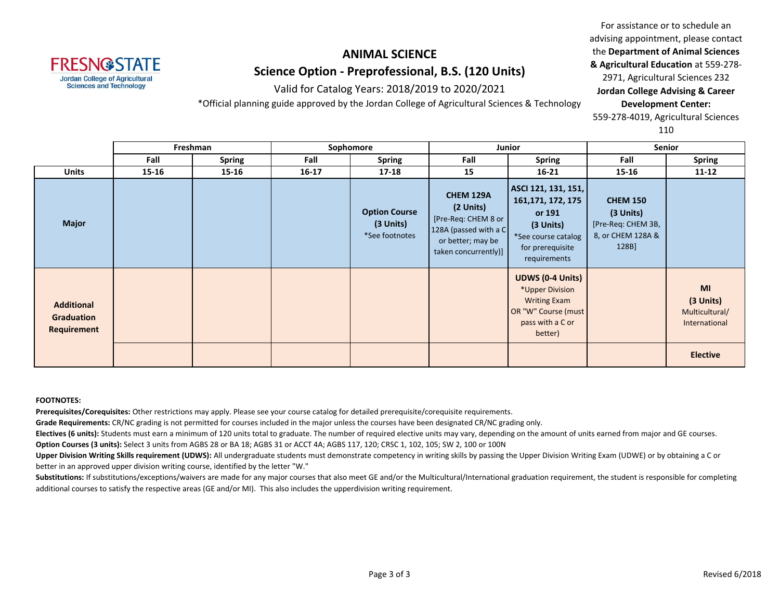

Valid for Catalog Years: 2018/2019 to 2020/2021

\*Official planning guide approved by the Jordan College of Agricultural Sciences & Technology

For assistance or to schedule an advising appointment, please contact the **Department of Animal Sciences & Agricultural Education** at 559-278- 2971, Agricultural Sciences 232 **Jordan College Advising & Career Development Center:** 559-278-4019, Agricultural Sciences

110

|                                                       | Freshman  |        | Sophomore |                                                     | Junior                                                                                                                     |                                                                                                                             | Senior                                                                           |                                                    |
|-------------------------------------------------------|-----------|--------|-----------|-----------------------------------------------------|----------------------------------------------------------------------------------------------------------------------------|-----------------------------------------------------------------------------------------------------------------------------|----------------------------------------------------------------------------------|----------------------------------------------------|
|                                                       | Fall      | Spring | Fall      | <b>Spring</b>                                       | Fall                                                                                                                       | <b>Spring</b>                                                                                                               | Fall                                                                             | <b>Spring</b>                                      |
| <b>Units</b>                                          | $15 - 16$ | 15-16  | $16 - 17$ | $17 - 18$                                           | 15                                                                                                                         | $16 - 21$                                                                                                                   | 15-16                                                                            | $11 - 12$                                          |
| <b>Major</b>                                          |           |        |           | <b>Option Course</b><br>(3 Units)<br>*See footnotes | <b>CHEM 129A</b><br>(2 Units)<br>[Pre-Req: CHEM 8 or<br>128A (passed with a C<br>or better; may be<br>taken concurrently)] | ASCI 121, 131, 151,<br>161, 171, 172, 175<br>or 191<br>(3 Units)<br>*See course catalog<br>for prerequisite<br>requirements | <b>CHEM 150</b><br>(3 Units)<br>[Pre-Req: CHEM 3B,<br>8, or CHEM 128A &<br>128B] |                                                    |
| <b>Additional</b><br><b>Graduation</b><br>Requirement |           |        |           |                                                     |                                                                                                                            | <b>UDWS (0-4 Units)</b><br>*Upper Division<br><b>Writing Exam</b><br>OR "W" Course (must<br>pass with a C or<br>better)     |                                                                                  | MI<br>(3 Units)<br>Multicultural/<br>International |
|                                                       |           |        |           |                                                     |                                                                                                                            |                                                                                                                             |                                                                                  | <b>Elective</b>                                    |

#### **FOOTNOTES:**

**Prerequisites/Corequisites:** Other restrictions may apply. Please see your course catalog for detailed prerequisite/corequisite requirements.

**Grade Requirements:** CR/NC grading is not permitted for courses included in the major unless the courses have been designated CR/NC grading only.

**Electives (6 units):** Students must earn a minimum of 120 units total to graduate. The number of required elective units may vary, depending on the amount of units earned from major and GE courses.

**Option Courses (3 units):** Select 3 units from AGBS 28 or BA 18; AGBS 31 or ACCT 4A; AGBS 117, 120; CRSC 1, 102, 105; SW 2, 100 or 100N

**Upper Division Writing Skills requirement (UDWS):** All undergraduate students must demonstrate competency in writing skills by passing the Upper Division Writing Exam (UDWE) or by obtaining a C or better in an approved upper division writing course, identified by the letter "W."

Substitutions: If substitutions/exceptions/waivers are made for any major courses that also meet GE and/or the Multicultural/International graduation requirement, the student is responsible for completing additional courses to satisfy the respective areas (GE and/or MI). This also includes the upperdivision writing requirement.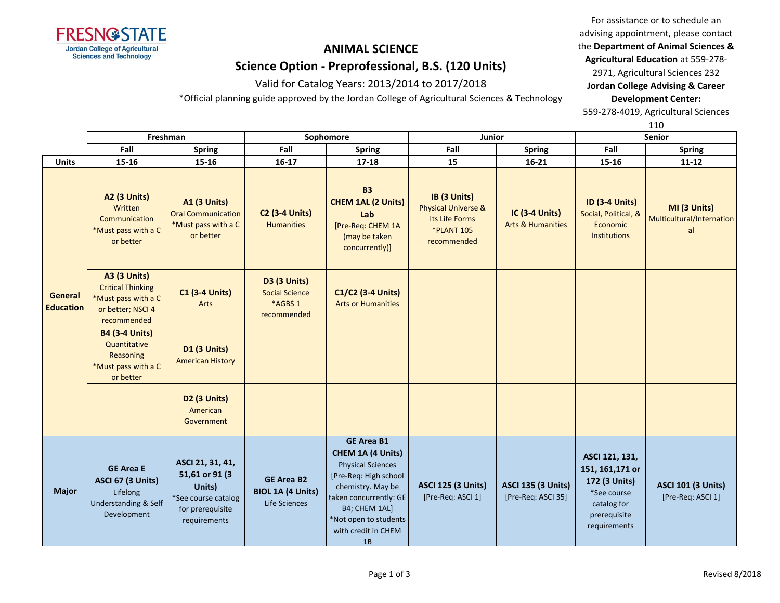

Valid for Catalog Years: 2013/2014 to 2017/2018

\*Official planning guide approved by the Jordan College of Agricultural Sciences & Technology

For assistance or to schedule an advising appointment, please contact the **Department of Animal Sciences & Agricultural Education** at 559-278-

2971, Agricultural Sciences 232 **Jordan College Advising & Career Development Center:**

559-278-4019, Agricultural Sciences

|                             | Freshman                                                                                                   |                                                                                                         |                                                                 | Sophomore                                                                                                                                                                                                         | Junior                                                                                               |                                                       | ᅩᅩ<br><b>Senior</b>                                                                                               |                                                 |
|-----------------------------|------------------------------------------------------------------------------------------------------------|---------------------------------------------------------------------------------------------------------|-----------------------------------------------------------------|-------------------------------------------------------------------------------------------------------------------------------------------------------------------------------------------------------------------|------------------------------------------------------------------------------------------------------|-------------------------------------------------------|-------------------------------------------------------------------------------------------------------------------|-------------------------------------------------|
|                             | Fall                                                                                                       | <b>Spring</b>                                                                                           | Fall                                                            | <b>Spring</b>                                                                                                                                                                                                     | Fall                                                                                                 | Spring                                                | Fall                                                                                                              | <b>Spring</b>                                   |
| <b>Units</b>                | 15-16                                                                                                      | 15-16                                                                                                   | $16 - 17$                                                       | $17 - 18$                                                                                                                                                                                                         | 15                                                                                                   | $16 - 21$                                             | 15-16                                                                                                             | $11 - 12$                                       |
| General<br><b>Education</b> | <b>A2 (3 Units)</b><br>Written<br>Communication<br>*Must pass with a C<br>or better                        | <b>A1 (3 Units)</b><br><b>Oral Communication</b><br>*Must pass with a C<br>or better                    | <b>C2 (3-4 Units)</b><br><b>Humanities</b>                      | <b>B3</b><br><b>CHEM 1AL (2 Units)</b><br>Lab<br>[Pre-Req: CHEM 1A<br>(may be taken<br>concurrently)]                                                                                                             | IB (3 Units)<br><b>Physical Universe &amp;</b><br>Its Life Forms<br><b>*PLANT 105</b><br>recommended | <b>IC (3-4 Units)</b><br><b>Arts &amp; Humanities</b> | <b>ID (3-4 Units)</b><br>Social, Political, &<br>Economic<br>Institutions                                         | MI (3 Units)<br>Multicultural/Internation<br>al |
|                             | <b>A3 (3 Units)</b><br><b>Critical Thinking</b><br>*Must pass with a C<br>or better; NSCI 4<br>recommended | <b>C1 (3-4 Units)</b><br>Arts                                                                           | D3 (3 Units)<br><b>Social Science</b><br>*AGBS 1<br>recommended | C1/C2 (3-4 Units)<br><b>Arts or Humanities</b>                                                                                                                                                                    |                                                                                                      |                                                       |                                                                                                                   |                                                 |
|                             | <b>B4 (3-4 Units)</b><br>Quantitative<br>Reasoning<br>*Must pass with a C<br>or better                     | <b>D1 (3 Units)</b><br><b>American History</b>                                                          |                                                                 |                                                                                                                                                                                                                   |                                                                                                      |                                                       |                                                                                                                   |                                                 |
|                             |                                                                                                            | <b>D2 (3 Units)</b><br>American<br>Government                                                           |                                                                 |                                                                                                                                                                                                                   |                                                                                                      |                                                       |                                                                                                                   |                                                 |
| <b>Major</b>                | <b>GE Area E</b><br><b>ASCI 67 (3 Units)</b><br>Lifelong<br>Understanding & Self<br>Development            | ASCI 21, 31, 41,<br>51,61 or 91 (3<br>Units)<br>*See course catalog<br>for prerequisite<br>requirements | <b>GE Area B2</b><br><b>BIOL 1A (4 Units)</b><br>Life Sciences  | <b>GE Area B1</b><br>CHEM 1A (4 Units)<br><b>Physical Sciences</b><br>[Pre-Req: High school<br>chemistry. May be<br>taken concurrently: GE<br>B4; CHEM 1AL]<br>*Not open to students<br>with credit in CHEM<br>1B | <b>ASCI 125 (3 Units)</b><br>[Pre-Req: ASCI 1]                                                       | <b>ASCI 135 (3 Units)</b><br>[Pre-Req: ASCI 35]       | ASCI 121, 131,<br>151, 161, 171 or<br>172 (3 Units)<br>*See course<br>catalog for<br>prerequisite<br>requirements | <b>ASCI 101 (3 Units)</b><br>[Pre-Req: ASCI 1]  |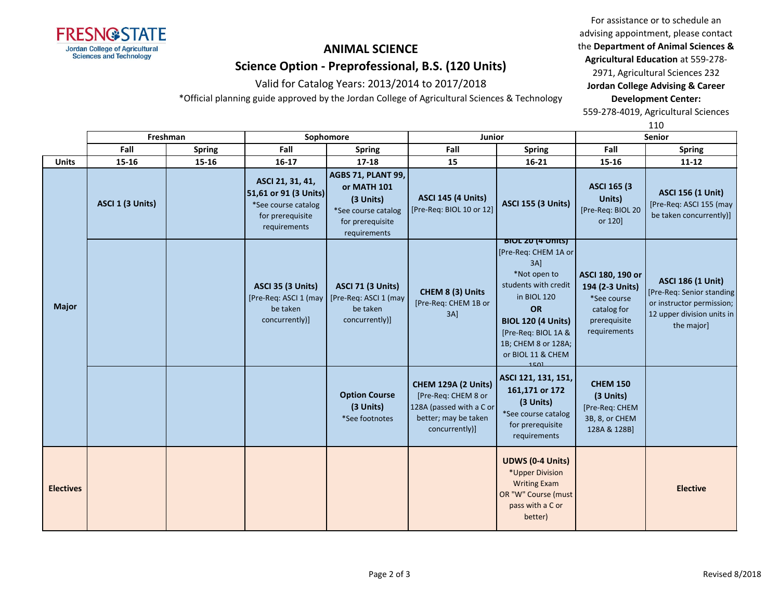

Valid for Catalog Years: 2013/2014 to 2017/2018 \*Official planning guide approved by the Jordan College of Agricultural Sciences & Technology

advising appointment, please contact the **Department of Animal Sciences & Agricultural Education** at 559-278-

For assistance or to schedule an

2971, Agricultural Sciences 232 **Jordan College Advising & Career Development Center:**

559-278-4019, Agricultural Sciences

|                  | Freshman         |               | Sophomore                                                                                            |                                                                                                           | Junior                                                                                                           |                                                                                                                                                                                                                                        | Senior                                                                                            |                                                                                                                                |  |
|------------------|------------------|---------------|------------------------------------------------------------------------------------------------------|-----------------------------------------------------------------------------------------------------------|------------------------------------------------------------------------------------------------------------------|----------------------------------------------------------------------------------------------------------------------------------------------------------------------------------------------------------------------------------------|---------------------------------------------------------------------------------------------------|--------------------------------------------------------------------------------------------------------------------------------|--|
|                  | Fall             | <b>Spring</b> | Fall                                                                                                 | <b>Spring</b>                                                                                             | Fall                                                                                                             | <b>Spring</b>                                                                                                                                                                                                                          | Fall                                                                                              | <b>Spring</b>                                                                                                                  |  |
| <b>Units</b>     | 15-16            | 15-16         | 16-17                                                                                                | $17 - 18$                                                                                                 | 15                                                                                                               | 16-21                                                                                                                                                                                                                                  | 15-16                                                                                             | $11 - 12$                                                                                                                      |  |
| <b>Major</b>     | ASCI 1 (3 Units) |               | ASCI 21, 31, 41,<br>51,61 or 91 (3 Units)<br>*See course catalog<br>for prerequisite<br>requirements | AGBS 71, PLANT 99,<br>or MATH 101<br>(3 Units)<br>*See course catalog<br>for prerequisite<br>requirements | <b>ASCI 145 (4 Units)</b><br>[Pre-Req: BIOL 10 or 12]                                                            | <b>ASCI 155 (3 Units)</b>                                                                                                                                                                                                              | <b>ASCI 165 (3)</b><br>Units)<br>[Pre-Req: BIOL 20<br>or 120]                                     | <b>ASCI 156 (1 Unit)</b><br>[Pre-Req: ASCI 155 (may<br>be taken concurrently)]                                                 |  |
|                  |                  |               | <b>ASCI 35 (3 Units)</b><br>[Pre-Req: ASCI 1 (may<br>be taken<br>concurrently)]                      | <b>ASCI 71 (3 Units)</b><br>[Pre-Req: ASCI 1 (may<br>be taken<br>concurrently)]                           | CHEM 8 (3) Units<br>[Pre-Req: CHEM 1B or<br>$3A$ ]                                                               | <b>BIOL ZU (4 UNITS)</b><br>[Pre-Req: CHEM 1A or<br>$3A$ ]<br>*Not open to<br>students with credit<br>in BIOL 120<br><b>OR</b><br><b>BIOL 120 (4 Units)</b><br>[Pre-Req: BIOL 1A &<br>1B; CHEM 8 or 128A;<br>or BIOL 11 & CHEM<br>1501 | ASCI 180, 190 or<br>194 (2-3 Units)<br>*See course<br>catalog for<br>prerequisite<br>requirements | <b>ASCI 186 (1 Unit)</b><br>[Pre-Req: Senior standing<br>or instructor permission;<br>12 upper division units in<br>the major] |  |
|                  |                  |               |                                                                                                      | <b>Option Course</b><br>(3 Units)<br>*See footnotes                                                       | CHEM 129A (2 Units)<br>[Pre-Req: CHEM 8 or<br>128A (passed with a C or<br>better; may be taken<br>concurrently)] | ASCI 121, 131, 151,<br>161,171 or 172<br>(3 Units)<br>*See course catalog<br>for prerequisite<br>requirements                                                                                                                          | <b>CHEM 150</b><br>(3 Units)<br>[Pre-Req: CHEM<br>3B, 8, or CHEM<br>128A & 128B]                  |                                                                                                                                |  |
| <b>Electives</b> |                  |               |                                                                                                      |                                                                                                           |                                                                                                                  | <b>UDWS (0-4 Units)</b><br>*Upper Division<br><b>Writing Exam</b><br>OR "W" Course (must<br>pass with a C or<br>better)                                                                                                                |                                                                                                   | <b>Elective</b>                                                                                                                |  |